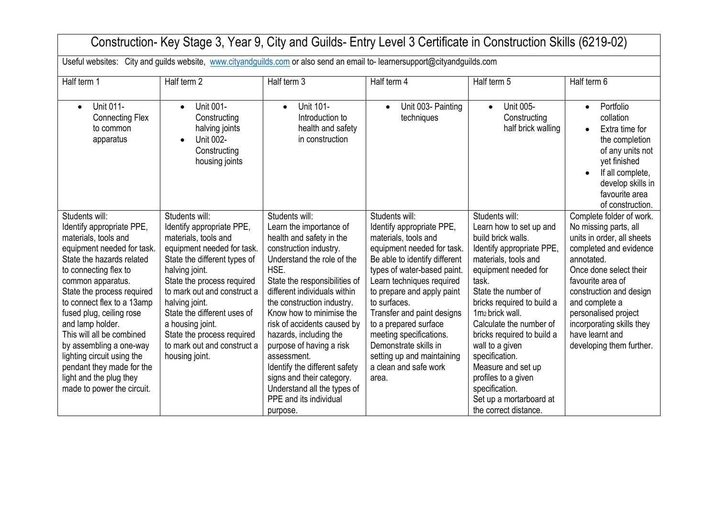| Construction- Key Stage 3, Year 9, City and Guilds- Entry Level 3 Certificate in Construction Skills (6219-02)                                                                                                                                                                                                                                                                                                                                                       |                                                                                                                                                                                                                                                                                                                                                                      |                                                                                                                                                                                                                                                                                                                                                                                                                                                                                                         |                                                                                                                                                                                                                                                                                                                                                                                                                         |                                                                                                                                                                                                                                                                                                                                                                                                                                                            |                                                                                                                                                                                                                                                                                                                         |
|----------------------------------------------------------------------------------------------------------------------------------------------------------------------------------------------------------------------------------------------------------------------------------------------------------------------------------------------------------------------------------------------------------------------------------------------------------------------|----------------------------------------------------------------------------------------------------------------------------------------------------------------------------------------------------------------------------------------------------------------------------------------------------------------------------------------------------------------------|---------------------------------------------------------------------------------------------------------------------------------------------------------------------------------------------------------------------------------------------------------------------------------------------------------------------------------------------------------------------------------------------------------------------------------------------------------------------------------------------------------|-------------------------------------------------------------------------------------------------------------------------------------------------------------------------------------------------------------------------------------------------------------------------------------------------------------------------------------------------------------------------------------------------------------------------|------------------------------------------------------------------------------------------------------------------------------------------------------------------------------------------------------------------------------------------------------------------------------------------------------------------------------------------------------------------------------------------------------------------------------------------------------------|-------------------------------------------------------------------------------------------------------------------------------------------------------------------------------------------------------------------------------------------------------------------------------------------------------------------------|
| Useful websites: City and guilds website, www.cityandguilds.com or also send an email to-learnersupport@cityandguilds.com                                                                                                                                                                                                                                                                                                                                            |                                                                                                                                                                                                                                                                                                                                                                      |                                                                                                                                                                                                                                                                                                                                                                                                                                                                                                         |                                                                                                                                                                                                                                                                                                                                                                                                                         |                                                                                                                                                                                                                                                                                                                                                                                                                                                            |                                                                                                                                                                                                                                                                                                                         |
| Half term 1                                                                                                                                                                                                                                                                                                                                                                                                                                                          | Half term 2                                                                                                                                                                                                                                                                                                                                                          | Half term 3                                                                                                                                                                                                                                                                                                                                                                                                                                                                                             | Half term 4                                                                                                                                                                                                                                                                                                                                                                                                             | Half term 5                                                                                                                                                                                                                                                                                                                                                                                                                                                | Half term 6                                                                                                                                                                                                                                                                                                             |
| <b>Unit 011-</b><br>$\bullet$<br><b>Connecting Flex</b><br>to common<br>apparatus                                                                                                                                                                                                                                                                                                                                                                                    | Unit 001-<br>$\bullet$<br>Constructing<br>halving joints<br>Unit 002-<br>Constructing<br>housing joints                                                                                                                                                                                                                                                              | <b>Unit 101-</b><br>$\bullet$<br>Introduction to<br>health and safety<br>in construction                                                                                                                                                                                                                                                                                                                                                                                                                | Unit 003- Painting<br>$\bullet$<br>techniques                                                                                                                                                                                                                                                                                                                                                                           | Unit 005-<br>$\bullet$<br>Constructing<br>half brick walling                                                                                                                                                                                                                                                                                                                                                                                               | Portfolio<br>$\bullet$<br>collation<br>Extra time for<br>the completion<br>of any units not<br>yet finished<br>If all complete,<br>$\bullet$<br>develop skills in<br>favourite area<br>of construction.                                                                                                                 |
| Students will:<br>Identify appropriate PPE,<br>materials, tools and<br>equipment needed for task.<br>State the hazards related<br>to connecting flex to<br>common apparatus.<br>State the process required<br>to connect flex to a 13amp<br>fused plug, ceiling rose<br>and lamp holder.<br>This will all be combined<br>by assembling a one-way<br>lighting circuit using the<br>pendant they made for the<br>light and the plug they<br>made to power the circuit. | Students will:<br>Identify appropriate PPE,<br>materials, tools and<br>equipment needed for task.<br>State the different types of<br>halving joint.<br>State the process required<br>to mark out and construct a<br>halving joint.<br>State the different uses of<br>a housing joint.<br>State the process required<br>to mark out and construct a<br>housing joint. | Students will:<br>Learn the importance of<br>health and safety in the<br>construction industry.<br>Understand the role of the<br>HSE.<br>State the responsibilities of<br>different individuals within<br>the construction industry.<br>Know how to minimise the<br>risk of accidents caused by<br>hazards, including the<br>purpose of having a risk<br>assessment.<br>Identify the different safety<br>signs and their category.<br>Understand all the types of<br>PPE and its individual<br>purpose. | Students will:<br>Identify appropriate PPE,<br>materials, tools and<br>equipment needed for task.<br>Be able to identify different<br>types of water-based paint.<br>Learn techniques required<br>to prepare and apply paint<br>to surfaces.<br>Transfer and paint designs<br>to a prepared surface<br>meeting specifications.<br>Demonstrate skills in<br>setting up and maintaining<br>a clean and safe work<br>area. | Students will:<br>Learn how to set up and<br>build brick walls.<br>Identify appropriate PPE,<br>materials, tools and<br>equipment needed for<br>task.<br>State the number of<br>bricks required to build a<br>1m <sub>2</sub> brick wall.<br>Calculate the number of<br>bricks required to build a<br>wall to a given<br>specification.<br>Measure and set up<br>profiles to a given<br>specification.<br>Set up a mortarboard at<br>the correct distance. | Complete folder of work.<br>No missing parts, all<br>units in order, all sheets<br>completed and evidence<br>annotated.<br>Once done select their<br>favourite area of<br>construction and design<br>and complete a<br>personalised project<br>incorporating skills they<br>have learnt and<br>developing them further. |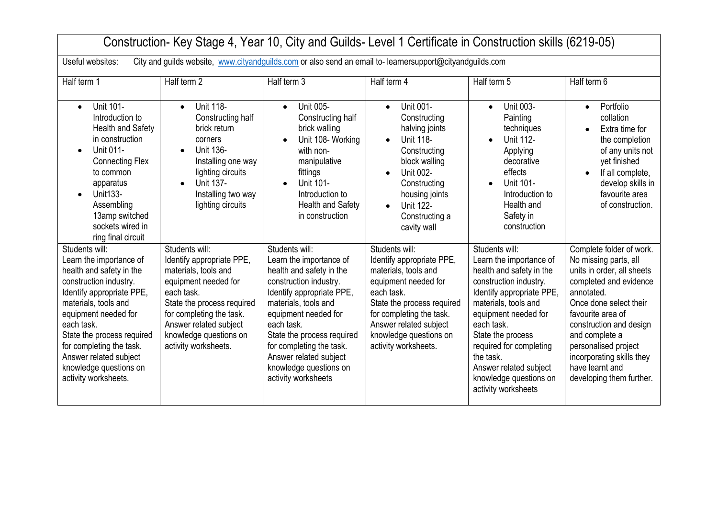| Construction- Key Stage 4, Year 10, City and Guilds-Level 1 Certificate in Construction skills (6219-05)                                                                                                                                                                                                                         |                                                                                                                                                                                                                                                 |                                                                                                                                                                                                                                                                                                                                 |                                                                                                                                                                                                                                                 |                                                                                                                                                                                                                                                                                                                                    |                                                                                                                                                                                                                                                                                                                         |
|----------------------------------------------------------------------------------------------------------------------------------------------------------------------------------------------------------------------------------------------------------------------------------------------------------------------------------|-------------------------------------------------------------------------------------------------------------------------------------------------------------------------------------------------------------------------------------------------|---------------------------------------------------------------------------------------------------------------------------------------------------------------------------------------------------------------------------------------------------------------------------------------------------------------------------------|-------------------------------------------------------------------------------------------------------------------------------------------------------------------------------------------------------------------------------------------------|------------------------------------------------------------------------------------------------------------------------------------------------------------------------------------------------------------------------------------------------------------------------------------------------------------------------------------|-------------------------------------------------------------------------------------------------------------------------------------------------------------------------------------------------------------------------------------------------------------------------------------------------------------------------|
| City and guilds website, www.cityandquilds.com or also send an email to-learnersupport@cityandguilds.com<br>Useful websites:                                                                                                                                                                                                     |                                                                                                                                                                                                                                                 |                                                                                                                                                                                                                                                                                                                                 |                                                                                                                                                                                                                                                 |                                                                                                                                                                                                                                                                                                                                    |                                                                                                                                                                                                                                                                                                                         |
| Half term 1                                                                                                                                                                                                                                                                                                                      | Half term 2                                                                                                                                                                                                                                     | Half term 3                                                                                                                                                                                                                                                                                                                     | Half term 4                                                                                                                                                                                                                                     | Half term 5                                                                                                                                                                                                                                                                                                                        | Half term 6                                                                                                                                                                                                                                                                                                             |
| <b>Unit 101-</b><br>$\bullet$<br>Introduction to<br>Health and Safety<br>in construction<br>Unit 011-<br>$\bullet$<br><b>Connecting Flex</b><br>to common<br>apparatus<br>Unit133-<br>$\bullet$<br>Assembling<br>13amp switched<br>sockets wired in<br>ring final circuit                                                        | Unit 118-<br>$\bullet$<br>Constructing half<br>brick return<br>corners<br>Unit 136-<br>Installing one way<br>lighting circuits<br>Unit 137-<br>Installing two way<br>lighting circuits                                                          | Unit 005-<br>$\bullet$<br>Constructing half<br>brick walling<br>Unit 108- Working<br>$\bullet$<br>with non-<br>manipulative<br>fittings<br>Unit 101-<br>Introduction to<br>Health and Safety<br>in construction                                                                                                                 | Unit 001-<br>$\bullet$<br>Constructing<br>halving joints<br>Unit 118-<br>$\bullet$<br>Constructing<br>block walling<br><b>Unit 002-</b><br>Constructing<br>housing joints<br><b>Unit 122-</b><br>$\bullet$<br>Constructing a<br>cavity wall     | Unit 003-<br>$\bullet$<br>Painting<br>techniques<br><b>Unit 112-</b><br>Applying<br>decorative<br>effects<br>Unit 101-<br>Introduction to<br>Health and<br>Safety in<br>construction                                                                                                                                               | Portfolio<br>$\bullet$<br>collation<br>Extra time for<br>$\bullet$<br>the completion<br>of any units not<br>yet finished<br>If all complete,<br>$\bullet$<br>develop skills in<br>favourite area<br>of construction.                                                                                                    |
| Students will:<br>Learn the importance of<br>health and safety in the<br>construction industry.<br>Identify appropriate PPE,<br>materials, tools and<br>equipment needed for<br>each task.<br>State the process required<br>for completing the task.<br>Answer related subject<br>knowledge questions on<br>activity worksheets. | Students will:<br>Identify appropriate PPE,<br>materials, tools and<br>equipment needed for<br>each task.<br>State the process required<br>for completing the task.<br>Answer related subject<br>knowledge questions on<br>activity worksheets. | Students will:<br>Learn the importance of<br>health and safety in the<br>construction industry.<br>Identify appropriate PPE,<br>materials, tools and<br>equipment needed for<br>each task.<br>State the process required<br>for completing the task.<br>Answer related subject<br>knowledge questions on<br>activity worksheets | Students will:<br>Identify appropriate PPE,<br>materials, tools and<br>equipment needed for<br>each task.<br>State the process required<br>for completing the task.<br>Answer related subject<br>knowledge questions on<br>activity worksheets. | Students will:<br>Learn the importance of<br>health and safety in the<br>construction industry.<br>Identify appropriate PPE,<br>materials, tools and<br>equipment needed for<br>each task.<br>State the process<br>required for completing<br>the task.<br>Answer related subject<br>knowledge questions on<br>activity worksheets | Complete folder of work.<br>No missing parts, all<br>units in order, all sheets<br>completed and evidence<br>annotated.<br>Once done select their<br>favourite area of<br>construction and design<br>and complete a<br>personalised project<br>incorporating skills they<br>have learnt and<br>developing them further. |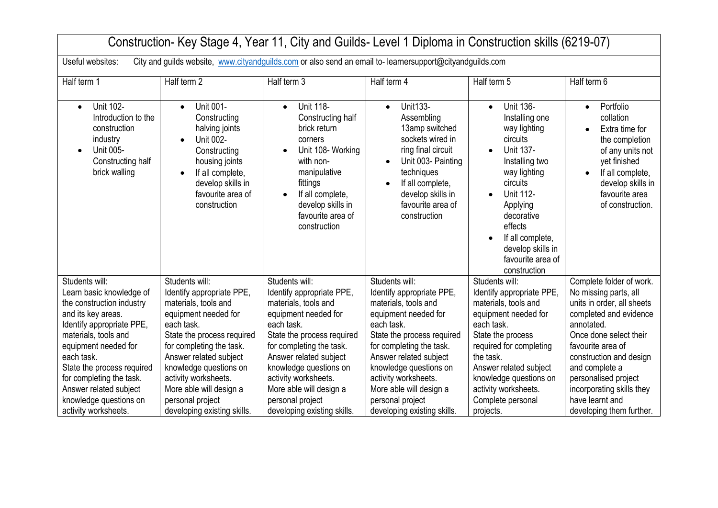| Construction- Key Stage 4, Year 11, City and Guilds- Level 1 Diploma in Construction skills (6219-07)                                                                                                                                                                                                                          |                                                                                                                                                                                                                                                                                                                               |                                                                                                                                                                                                                                                                                                                               |                                                                                                                                                                                                                                                                                                                               |                                                                                                                                                                                                                                                                                                   |                                                                                                                                                                                                                                                                                                                         |  |
|--------------------------------------------------------------------------------------------------------------------------------------------------------------------------------------------------------------------------------------------------------------------------------------------------------------------------------|-------------------------------------------------------------------------------------------------------------------------------------------------------------------------------------------------------------------------------------------------------------------------------------------------------------------------------|-------------------------------------------------------------------------------------------------------------------------------------------------------------------------------------------------------------------------------------------------------------------------------------------------------------------------------|-------------------------------------------------------------------------------------------------------------------------------------------------------------------------------------------------------------------------------------------------------------------------------------------------------------------------------|---------------------------------------------------------------------------------------------------------------------------------------------------------------------------------------------------------------------------------------------------------------------------------------------------|-------------------------------------------------------------------------------------------------------------------------------------------------------------------------------------------------------------------------------------------------------------------------------------------------------------------------|--|
| Useful websites:<br>City and guilds website, www.cityandguilds.com or also send an email to-learnersupport@cityandguilds.com                                                                                                                                                                                                   |                                                                                                                                                                                                                                                                                                                               |                                                                                                                                                                                                                                                                                                                               |                                                                                                                                                                                                                                                                                                                               |                                                                                                                                                                                                                                                                                                   |                                                                                                                                                                                                                                                                                                                         |  |
| Half term 1                                                                                                                                                                                                                                                                                                                    | Half term 2                                                                                                                                                                                                                                                                                                                   | Half term 3                                                                                                                                                                                                                                                                                                                   | Half term 4                                                                                                                                                                                                                                                                                                                   | Half term 5                                                                                                                                                                                                                                                                                       | Half term 6                                                                                                                                                                                                                                                                                                             |  |
| <b>Unit 102-</b><br>$\bullet$<br>Introduction to the<br>construction<br>industry<br>Unit 005-<br>$\bullet$<br>Constructing half<br>brick walling                                                                                                                                                                               | Unit 001-<br>$\bullet$<br>Constructing<br>halving joints<br>Unit 002-<br>Constructing<br>housing joints<br>If all complete,<br>$\bullet$<br>develop skills in<br>favourite area of<br>construction                                                                                                                            | <b>Unit 118-</b><br>$\bullet$<br>Constructing half<br>brick return<br>corners<br>Unit 108- Working<br>with non-<br>manipulative<br>fittings<br>If all complete,<br>$\bullet$<br>develop skills in<br>favourite area of<br>construction                                                                                        | <b>Unit133-</b><br>$\bullet$<br>Assembling<br>13amp switched<br>sockets wired in<br>ring final circuit<br>Unit 003- Painting<br>techniques<br>If all complete,<br>$\bullet$<br>develop skills in<br>favourite area of<br>construction                                                                                         | <b>Unit 136-</b><br>$\bullet$<br>Installing one<br>way lighting<br>circuits<br><b>Unit 137-</b><br>Installing two<br>way lighting<br>circuits<br><b>Unit 112-</b><br>$\bullet$<br>Applying<br>decorative<br>effects<br>If all complete,<br>develop skills in<br>favourite area of<br>construction | Portfolio<br>$\bullet$<br>collation<br>Extra time for<br>$\bullet$<br>the completion<br>of any units not<br>yet finished<br>If all complete,<br>$\bullet$<br>develop skills in<br>favourite area<br>of construction.                                                                                                    |  |
| Students will:<br>Learn basic knowledge of<br>the construction industry<br>and its key areas.<br>Identify appropriate PPE,<br>materials, tools and<br>equipment needed for<br>each task.<br>State the process required<br>for completing the task.<br>Answer related subject<br>knowledge questions on<br>activity worksheets. | Students will:<br>Identify appropriate PPE,<br>materials, tools and<br>equipment needed for<br>each task.<br>State the process required<br>for completing the task.<br>Answer related subject<br>knowledge questions on<br>activity worksheets.<br>More able will design a<br>personal project<br>developing existing skills. | Students will:<br>Identify appropriate PPE,<br>materials, tools and<br>equipment needed for<br>each task.<br>State the process required<br>for completing the task.<br>Answer related subject<br>knowledge questions on<br>activity worksheets.<br>More able will design a<br>personal project<br>developing existing skills. | Students will:<br>Identify appropriate PPE,<br>materials, tools and<br>equipment needed for<br>each task.<br>State the process required<br>for completing the task.<br>Answer related subject<br>knowledge questions on<br>activity worksheets.<br>More able will design a<br>personal project<br>developing existing skills. | Students will:<br>Identify appropriate PPE,<br>materials, tools and<br>equipment needed for<br>each task.<br>State the process<br>required for completing<br>the task.<br>Answer related subject<br>knowledge questions on<br>activity worksheets.<br>Complete personal<br>projects.              | Complete folder of work.<br>No missing parts, all<br>units in order, all sheets<br>completed and evidence<br>annotated.<br>Once done select their<br>favourite area of<br>construction and design<br>and complete a<br>personalised project<br>incorporating skills they<br>have learnt and<br>developing them further. |  |